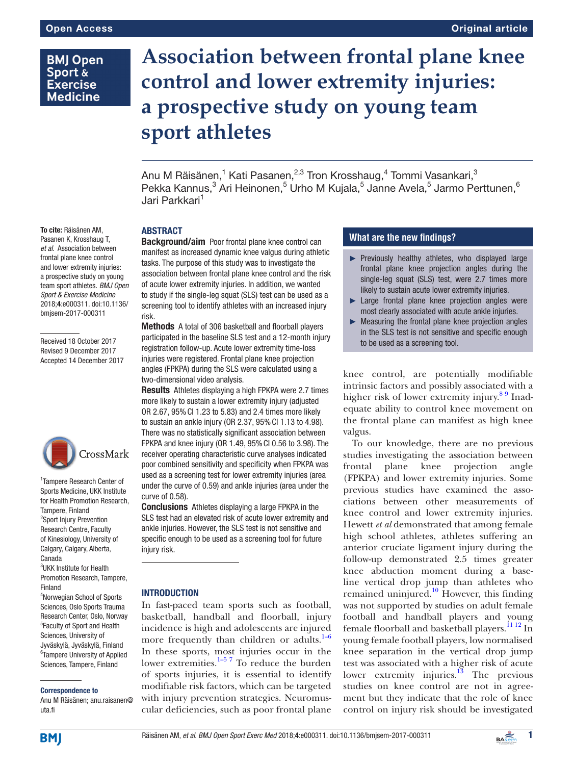# **BMJ Open** Sport & **Exercise Medicine**

# **Association between frontal plane knee control and lower extremity injuries: a prospective study on young team sport athletes**

Anu M Räisänen,<sup>1</sup> Kati Pasanen,<sup>2,3</sup> Tron Krosshaug,<sup>4</sup> Tommi Vasankari,<sup>3</sup> Pekka Kannus, $^3$  Ari Heinonen, $^5$  Urho M Kujala, $^5$  Janne Avela, $^5$  Jarmo Perttunen, $^6$ Jari Parkkari<sup>1</sup>

### **ABSTRACT**

**Background/aim** Poor frontal plane knee control can manifest as increased dynamic knee valgus during athletic tasks. The purpose of this study was to investigate the association between frontal plane knee control and the risk of acute lower extremity injuries. In addition, we wanted to study if the single-leg squat (SLS) test can be used as a screening tool to identify athletes with an increased injury risk.

Methods A total of 306 basketball and floorball players participated in the baseline SLS test and a 12-month injury registration follow-up. Acute lower extremity time-loss injuries were registered. Frontal plane knee projection angles (FPKPA) during the SLS were calculated using a two-dimensional video analysis.

Results Athletes displaying a high FPKPA were 2.7 times more likely to sustain a lower extremity injury (adjusted OR 2.67, 95%CI 1.23 to 5.83) and 2.4 times more likely to sustain an ankle injury (OR 2.37, 95%CI 1.13 to 4.98). There was no statistically significant association between FPKPA and knee injury (OR 1.49, 95%CI 0.56 to 3.98). The receiver operating characteristic curve analyses indicated poor combined sensitivity and specificity when FPKPA was used as a screening test for lower extremity injuries (area under the curve of 0.59) and ankle injuries (area under the curve of 0.58).

Conclusions Athletes displaying a large FPKPA in the SLS test had an elevated risk of acute lower extremity and ankle injuries. However, the SLS test is not sensitive and specific enough to be used as a screening tool for future injury risk.

### **INTRODUCTION**

In fast-paced team sports such as football, basketball, handball and floorball, injury incidence is high and adolescents are injured more frequently than children or adults. $1-6$ In these sports, most injuries occur in the lower extremities. $1-5$ <sup>7</sup> To reduce the burden of sports injuries, it is essential to identify modifiable risk factors, which can be targeted with injury prevention strategies. Neuromuscular deficiencies, such as poor frontal plane

# **What are the new findings?**

- ► Previously healthy athletes, who displayed large frontal plane knee projection angles during the single-leg squat (SLS) test, were 2.7 times more likely to sustain acute lower extremity injuries.
- ► Large frontal plane knee projection angles were most clearly associated with acute ankle injuries.
- ► Measuring the frontal plane knee projection angles in the SLS test is not sensitive and specific enough to be used as a screening tool.

knee control, are potentially modifiable intrinsic factors and possibly associated with a higher risk of lower extremity injury.<sup>89</sup> Inadequate ability to control knee movement on the frontal plane can manifest as high knee valgus.

To our knowledge, there are no previous studies investigating the association between frontal plane knee projection angle (FPKPA) and lower extremity injuries. Some previous studies have examined the associations between other measurements of knee control and lower extremity injuries. Hewett *et al* demonstrated that among female high school athletes, athletes suffering an anterior cruciate ligament injury during the follow-up demonstrated 2.5 times greater knee abduction moment during a baseline vertical drop jump than athletes who remained uninjured. $10$  However, this finding was not supported by studies on adult female football and handball players and young female floorball and basketball players.<sup>[11 12](#page-8-3)</sup> In young female football players, low normalised knee separation in the vertical drop jump test was associated with a higher risk of acute lower extremity injuries.<sup>13</sup> The previous studies on knee control are not in agreement but they indicate that the role of knee control on injury risk should be investigated

To cite: Räisänen AM, Pasanen K, Krosshaug T, *et al*. Association between frontal plane knee control and lower extremity injuries: a prospective study on young team sport athletes. *BMJ Open Sport & Exercise Medicine* 2018;4:e000311. doi:10.1136/ bmjsem-2017-000311

Received 18 October 2017 Revised 9 December 2017 Accepted 14 December 2017



1 Tampere Research Center of Sports Medicine, UKK Institute for Health Promotion Research, Tampere, Finland <sup>2</sup>Sport Injury Prevention Research Centre, Faculty of Kinesiology, University of Calgary, Calgary, Alberta, Canada <sup>3</sup>UKK Institute for Health Promotion Research, Tampere,

Finland 4 Norwegian School of Sports Sciences, Oslo Sports Trauma Research Center, Oslo, Norway 5 Faculty of Sport and Health Sciences, University of Jyväskylä, Jyväskylä, Finland <sup>6</sup>Tampere University of Applied Sciences, Tampere, Finland

#### Correspondence to

Anu M Räisänen; anu.raisanen@ uta.fi

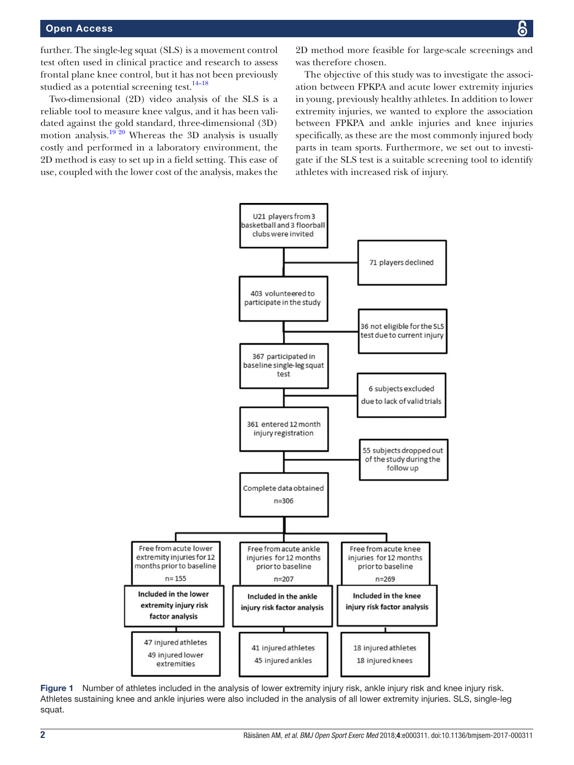further. The single-leg squat (SLS) is a movement control test often used in clinical practice and research to assess frontal plane knee control, but it has not been previously studied as a potential screening test. $14-18$ 

Two-dimensional (2D) video analysis of the SLS is a reliable tool to measure knee valgus, and it has been validated against the gold standard, three-dimensional (3D) motion analysis.<sup>19 20</sup> Whereas the 3D analysis is usually costly and performed in a laboratory environment, the 2D method is easy to set up in a field setting. This ease of use, coupled with the lower cost of the analysis, makes the

2D method more feasible for large-scale screenings and was therefore chosen.

The objective of this study was to investigate the association between FPKPA and acute lower extremity injuries in young, previously healthy athletes. In addition to lower extremity injuries, we wanted to explore the association between FPKPA and ankle injuries and knee injuries specifically, as these are the most commonly injured body parts in team sports. Furthermore, we set out to investigate if the SLS test is a suitable screening tool to identify athletes with increased risk of injury.



<span id="page-1-0"></span>Figure 1 Number of athletes included in the analysis of lower extremity injury risk, ankle injury risk and knee injury risk. Athletes sustaining knee and ankle injuries were also included in the analysis of all lower extremity injuries. SLS, single-leg squat.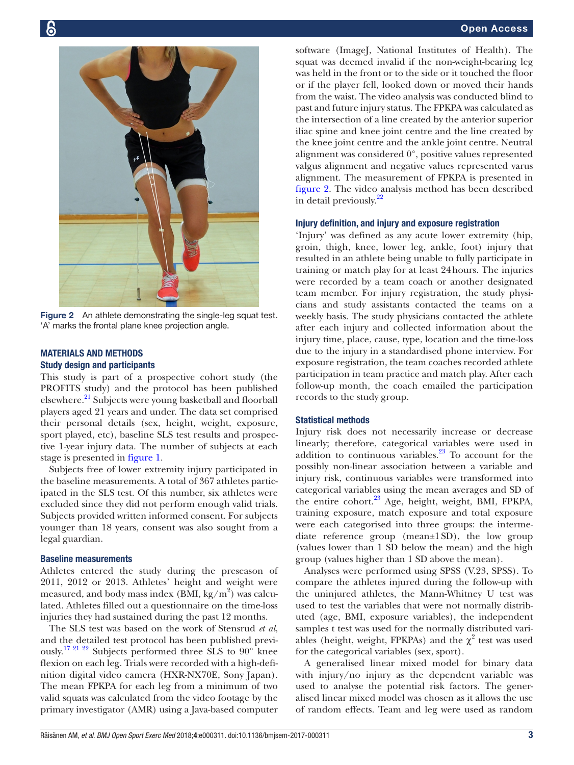

Figure 2 An athlete demonstrating the single-leg squat test. 'A' marks the frontal plane knee projection angle.

# <span id="page-2-0"></span>Materials and methods Study design and participants

This study is part of a prospective cohort study (the PROFITS study) and the protocol has been published elsewhere.<sup>21</sup> Subjects were young basketball and floorball players aged 21 years and under. The data set comprised their personal details (sex, height, weight, exposure, sport played, etc), baseline SLS test results and prospective 1-year injury data. The number of subjects at each stage is presented in [figure](#page-1-0) 1.

Subjects free of lower extremity injury participated in the baseline measurements. A total of 367 athletes participated in the SLS test. Of this number, six athletes were excluded since they did not perform enough valid trials. Subjects provided written informed consent. For subjects younger than 18 years, consent was also sought from a legal guardian.

#### Baseline measurements

Athletes entered the study during the preseason of 2011, 2012 or 2013. Athletes' height and weight were measured, and body mass index (BMI, kg/m<sup>2</sup>) was calculated. Athletes filled out a questionnaire on the time-loss injuries they had sustained during the past 12 months.

The SLS test was based on the work of Stensrud *et al*, and the detailed test protocol has been published previously.[17 21 22](#page-8-8) Subjects performed three SLS to 90° knee flexion on each leg. Trials were recorded with a high-definition digital video camera (HXR-NX70E, Sony Japan). The mean FPKPA for each leg from a minimum of two valid squats was calculated from the video footage by the primary investigator (AMR) using a Java-based computer

software (ImageJ, National Institutes of Health). The squat was deemed invalid if the non-weight-bearing leg was held in the front or to the side or it touched the floor or if the player fell, looked down or moved their hands from the waist. The video analysis was conducted blind to past and future injury status. The FPKPA was calculated as the intersection of a line created by the anterior superior iliac spine and knee joint centre and the line created by the knee joint centre and the ankle joint centre. Neutral alignment was considered 0°, positive values represented valgus alignment and negative values represented varus alignment. The measurement of FPKPA is presented in [figure](#page-2-0) 2. The video analysis method has been described in detail previously.<sup>22</sup>

#### Injury definition, and injury and exposure registration

'Injury' was defined as any acute lower extremity (hip, groin, thigh, knee, lower leg, ankle, foot) injury that resulted in an athlete being unable to fully participate in training or match play for at least 24hours. The injuries were recorded by a team coach or another designated team member. For injury registration, the study physicians and study assistants contacted the teams on a weekly basis. The study physicians contacted the athlete after each injury and collected information about the injury time, place, cause, type, location and the time-loss due to the injury in a standardised phone interview. For exposure registration, the team coaches recorded athlete participation in team practice and match play. After each follow-up month, the coach emailed the participation records to the study group.

#### Statistical methods

Injury risk does not necessarily increase or decrease linearly; therefore, categorical variables were used in addition to continuous variables. $23$  To account for the possibly non-linear association between a variable and injury risk, continuous variables were transformed into categorical variables using the mean averages and SD of the entire cohort.<sup>23</sup> Age, height, weight, BMI, FPKPA, training exposure, match exposure and total exposure were each categorised into three groups: the intermediate reference group (mean±1SD), the low group (values lower than 1 SD below the mean) and the high group (values higher than 1 SD above the mean).

Analyses were performed using SPSS (V.23, SPSS). To compare the athletes injured during the follow-up with the uninjured athletes, the Mann-Whitney U test was used to test the variables that were not normally distributed (age, BMI, exposure variables), the independent samples t test was used for the normally distributed variables (height, weight, FPKPAs) and the  $\chi^2$  test was used for the categorical variables (sex, sport).

A generalised linear mixed model for binary data with injury/no injury as the dependent variable was used to analyse the potential risk factors. The generalised linear mixed model was chosen as it allows the use of random effects. Team and leg were used as random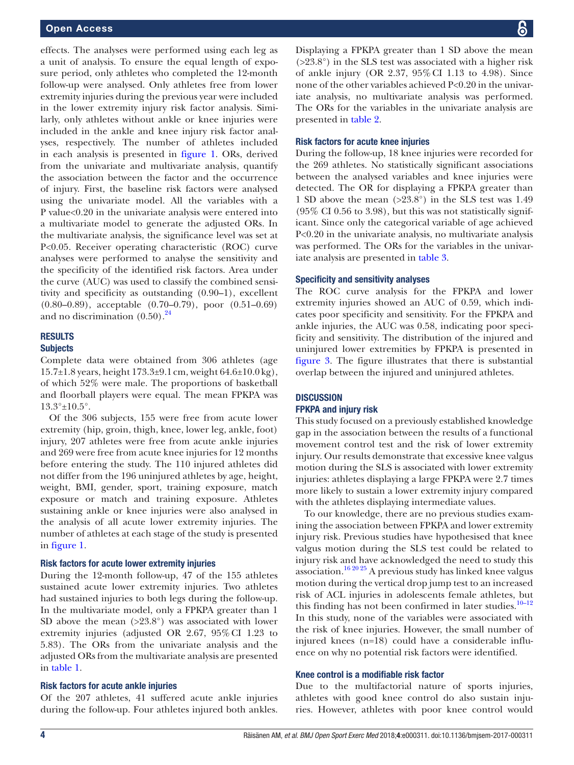effects. The analyses were performed using each leg as a unit of analysis. To ensure the equal length of exposure period, only athletes who completed the 12-month follow-up were analysed. Only athletes free from lower extremity injuries during the previous year were included in the lower extremity injury risk factor analysis. Similarly, only athletes without ankle or knee injuries were included in the ankle and knee injury risk factor analyses, respectively. The number of athletes included in each analysis is presented in [figure](#page-1-0) 1. ORs, derived from the univariate and multivariate analysis, quantify the association between the factor and the occurrence of injury. First, the baseline risk factors were analysed using the univariate model. All the variables with a P value<0.20 in the univariate analysis were entered into a multivariate model to generate the adjusted ORs. In the multivariate analysis, the significance level was set at P<0.05. Receiver operating characteristic (ROC) curve analyses were performed to analyse the sensitivity and the specificity of the identified risk factors. Area under the curve (AUC) was used to classify the combined sensitivity and specificity as outstanding (0.90–1), excellent (0.80–0.89), acceptable (0.70–0.79), poor (0.51–0.69) and no discrimination  $(0.50)$ .<sup>24</sup>

# **RESULTS**

### **Subjects**

Complete data were obtained from 306 athletes (age 15.7±1.8 years, height 173.3±9.1cm, weight 64.6±10.0kg), of which 52% were male. The proportions of basketball and floorball players were equal. The mean FPKPA was 13.3°±10.5°.

Of the 306 subjects, 155 were free from acute lower extremity (hip, groin, thigh, knee, lower leg, ankle, foot) injury, 207 athletes were free from acute ankle injuries and 269 were free from acute knee injuries for 12 months before entering the study. The 110 injured athletes did not differ from the 196 uninjured athletes by age, height, weight, BMI, gender, sport, training exposure, match exposure or match and training exposure. Athletes sustaining ankle or knee injuries were also analysed in the analysis of all acute lower extremity injuries. The number of athletes at each stage of the study is presented in [figure](#page-1-0) 1.

#### Risk factors for acute lower extremity injuries

During the 12-month follow-up, 47 of the 155 athletes sustained acute lower extremity injuries. Two athletes had sustained injuries to both legs during the follow-up. In the multivariate model, only a FPKPA greater than 1 SD above the mean  $(>23.8^{\circ})$  was associated with lower extremity injuries (adjusted OR 2.67, 95%CI 1.23 to 5.83). The ORs from the univariate analysis and the adjusted ORs from the multivariate analysis are presented in [table](#page-4-0) 1.

### Risk factors for acute ankle injuries

Of the 207 athletes, 41 suffered acute ankle injuries during the follow-up. Four athletes injured both ankles.

Displaying a FPKPA greater than 1 SD above the mean (>23.8°) in the SLS test was associated with a higher risk of ankle injury (OR 2.37, 95%CI 1.13 to 4.98). Since none of the other variables achieved P<0.20 in the univariate analysis, no multivariate analysis was performed. The ORs for the variables in the univariate analysis are presented in [table](#page-5-0) 2.

#### Risk factors for acute knee injuries

During the follow-up, 18 knee injuries were recorded for the 269 athletes. No statistically significant associations between the analysed variables and knee injuries were detected. The OR for displaying a FPKPA greater than 1 SD above the mean  $(>23.8^{\circ})$  in the SLS test was 1.49 (95% CI 0.56 to 3.98), but this was not statistically significant. Since only the categorical variable of age achieved P<0.20 in the univariate analysis, no multivariate analysis was performed. The ORs for the variables in the univariate analysis are presented in [table](#page-6-0) 3.

#### Specificity and sensitivity analyses

The ROC curve analysis for the FPKPA and lower extremity injuries showed an AUC of 0.59, which indicates poor specificity and sensitivity. For the FPKPA and ankle injuries, the AUC was 0.58, indicating poor specificity and sensitivity. The distribution of the injured and uninjured lower extremities by FPKPA is presented in [figure](#page-7-0) 3. The figure illustrates that there is substantial overlap between the injured and uninjured athletes.

### **DISCUSSION** FPKPA and injury risk

This study focused on a previously established knowledge gap in the association between the results of a functional movement control test and the risk of lower extremity injury. Our results demonstrate that excessive knee valgus motion during the SLS is associated with lower extremity injuries: athletes displaying a large FPKPA were 2.7 times more likely to sustain a lower extremity injury compared with the athletes displaying intermediate values.

To our knowledge, there are no previous studies examining the association between FPKPA and lower extremity injury risk. Previous studies have hypothesised that knee valgus motion during the SLS test could be related to injury risk and have acknowledged the need to study this association.<sup>16 20 25</sup> A previous study has linked knee valgus motion during the vertical drop jump test to an increased risk of ACL injuries in adolescents female athletes, but this finding has not been confirmed in later studies. $10-12$ In this study, none of the variables were associated with the risk of knee injuries. However, the small number of injured knees (n=18) could have a considerable influence on why no potential risk factors were identified.

# Knee control is a modifiable risk factor

Due to the multifactorial nature of sports injuries, athletes with good knee control do also sustain injuries. However, athletes with poor knee control would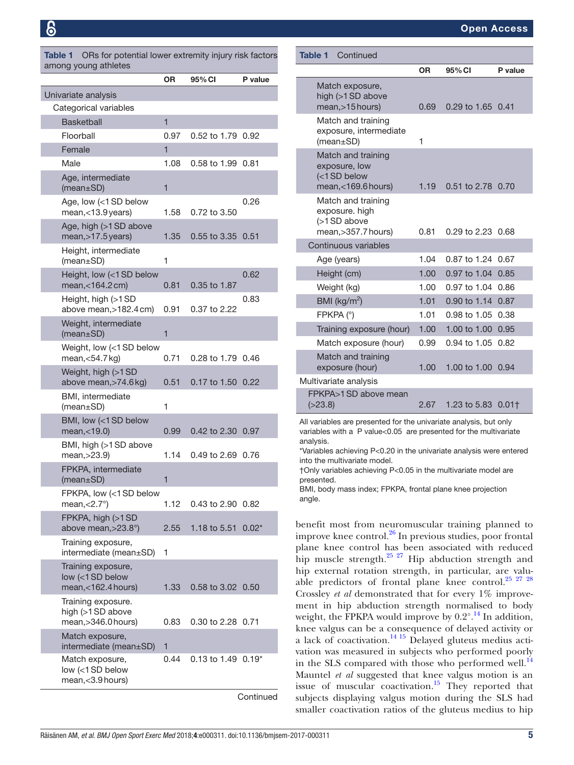<span id="page-4-0"></span>Table 1 ORs for potential lower extremity injury risk factors among young athletes

|                                                                | <b>OR</b>      | 95% CI                  | P value   |
|----------------------------------------------------------------|----------------|-------------------------|-----------|
| Univariate analysis                                            |                |                         |           |
| Categorical variables                                          |                |                         |           |
| <b>Basketball</b>                                              | $\overline{1}$ |                         |           |
| Floorball                                                      | 0.97           | 0.52 to 1.79            | 0.92      |
| Female                                                         | 1              |                         |           |
| Male                                                           | 1.08           | 0.58 to 1.99            | 0.81      |
| Age, intermediate<br>(mean ± SD)                               | $\mathbf{1}$   |                         |           |
| Age, low (<1SD below<br>mean,<13.9 years)                      | 1.58           | 0.72 to 3.50            | 0.26      |
| Age, high (>1SD above<br>mean, > 17.5 years)                   | 1.35           | 0.55 to 3.35            | 0.51      |
| Height, intermediate<br>$(mean \pm SD)$                        | 1              |                         |           |
| Height, low (<1 SD below<br>mean,<164.2 cm)                    | 0.81           | 0.35 to 1.87            | 0.62      |
| Height, high (>1SD<br>above mean, > 182.4 cm)                  | 0.91           | 0.37 to 2.22            | 0.83      |
| Weight, intermediate<br>(mean ± SD)                            | 1              |                         |           |
| Weight, low (<1 SD below<br>mean, $<$ 54.7 $kg$ )              | 0.71           | 0.28 to 1.79            | 0.46      |
| Weight, high (>1SD<br>above mean, > 74.6 kg)                   | 0.51           | 0.17 to 1.50 0.22       |           |
| BMI, intermediate<br>$(mean \pm SD)$                           | 1              |                         |           |
| BMI, low (<1 SD below<br>mean, < 19.0)                         | 0.99           | 0.42 to 2.30            | 0.97      |
| BMI, high (>1 SD above<br>mean, > 23.9)                        | 1.14           | 0.49 to 2.69            | 0.76      |
| FPKPA, intermediate<br>$(mean \pm SD)$                         | 1              |                         |           |
| FPKPA, low (<1 SD below<br>mean, $<$ 2.7 $^{\circ}$ )          | 1.12           | 0.43 to 2.90 0.82       |           |
| FPKPA, high (>1SD<br>above mean, > 23.8°)                      | 2.55           | 1.18 to 5.51            | $0.02*$   |
| Training exposure,<br>intermediate (mean±SD)                   | 1              |                         |           |
| Training exposure,<br>low (<1 SD below<br>mean,<162.4 hours)   | 1.33           | 0.58 to 3.02 0.50       |           |
| Training exposure.<br>high (>1SD above<br>mean, > 346.0 hours) | 0.83           | 0.30 to 2.28 0.71       |           |
| Match exposure,<br>intermediate (mean±SD)                      | 1              |                         |           |
| Match exposure,<br>low (<1 SD below<br>mean,<3.9 hours)        | 0.44           | $0.13$ to 1.49 $0.19^*$ |           |
|                                                                |                |                         | Continued |

| <b>Table 1</b><br>Continued                                                                                                                                                                                                                                                                                                            |      |                                |         |
|----------------------------------------------------------------------------------------------------------------------------------------------------------------------------------------------------------------------------------------------------------------------------------------------------------------------------------------|------|--------------------------------|---------|
|                                                                                                                                                                                                                                                                                                                                        | 0R   | 95% CI                         | P value |
| Match exposure,<br>high (>1SD above<br>mean, > 15 hours)                                                                                                                                                                                                                                                                               | 0.69 | 0.29 to 1.65 0.41              |         |
| Match and training<br>exposure, intermediate<br>$(mean \pm SD)$                                                                                                                                                                                                                                                                        | 1    |                                |         |
| Match and training<br>exposure, low<br>(<1SD below<br>mean,<169.6 hours)                                                                                                                                                                                                                                                               | 1.19 | 0.51 to 2.78 0.70              |         |
| Match and training<br>exposure. high<br>(>1SD above<br>mean, > 357.7 hours)                                                                                                                                                                                                                                                            | 0.81 | $0.29$ to 2.23 $0.68$          |         |
| Continuous variables                                                                                                                                                                                                                                                                                                                   |      |                                |         |
| Age (years)                                                                                                                                                                                                                                                                                                                            | 1.04 | 0.87 to 1.24                   | 0.67    |
| Height (cm)                                                                                                                                                                                                                                                                                                                            | 1.00 | 0.97 to 1.04                   | 0.85    |
| Weight (kg)                                                                                                                                                                                                                                                                                                                            | 1.00 | 0.97 to 1.04                   | 0.86    |
| BMI ( $\text{kg/m}^2$ )                                                                                                                                                                                                                                                                                                                | 1.01 | 0.90 to 1.14                   | 0.87    |
| FPKPA (°)                                                                                                                                                                                                                                                                                                                              | 1.01 | 0.98 to 1.05                   | 0.38    |
| Training exposure (hour)                                                                                                                                                                                                                                                                                                               | 1.00 | 1.00 to 1.00                   | 0.95    |
| Match exposure (hour)                                                                                                                                                                                                                                                                                                                  | 0.99 | 0.94 to 1.05                   | 0.82    |
| Match and training<br>exposure (hour)                                                                                                                                                                                                                                                                                                  | 1.00 | 1.00 to 1.00                   | 0.94    |
| Multivariate analysis                                                                                                                                                                                                                                                                                                                  |      |                                |         |
| FPKPA>1 SD above mean<br>( >23.8)                                                                                                                                                                                                                                                                                                      | 2.67 | 1.23 to 5.83 0.01 <sup>+</sup> |         |
| All variables are presented for the univariate analysis, but only<br>variables with a P value<0.05 are presented for the multivariate<br>analysis.<br>*Variables achieving P<0.20 in the univariate analysis were entered<br>into the multivariate model.<br>$\dagger$ Only variables achieving $P<0.05$ in the multivariate model are |      |                                |         |

†Only variables achieving P<0.05 in the multivariate model are presented.

BMI, body mass index; FPKPA, frontal plane knee projection angle.

benefit most from neuromuscular training planned to improve knee control.[26](#page-8-13) In previous studies, poor frontal plane knee control has been associated with reduced hip muscle strength.<sup>25</sup> <sup>27</sup> Hip abduction strength and hip external rotation strength, in particular, are valuable predictors of frontal plane knee control.<sup>25</sup> <sup>27</sup> <sup>28</sup> Crossley *et al* demonstrated that for every 1% improvement in hip abduction strength normalised to body weight, the FPKPA would improve by  $0.2^{\circ}$ .<sup>14</sup> In addition, knee valgus can be a consequence of delayed activity or a lack of coactivation.<sup>[14 15](#page-8-5)</sup> Delayed gluteus medius activation was measured in subjects who performed poorly in the SLS compared with those who performed well.<sup>[14](#page-8-5)</sup> Mauntel *et al* suggested that knee valgus motion is an issue of muscular coactivation.<sup>[15](#page-8-15)</sup> They reported that subjects displaying valgus motion during the SLS had smaller coactivation ratios of the gluteus medius to hip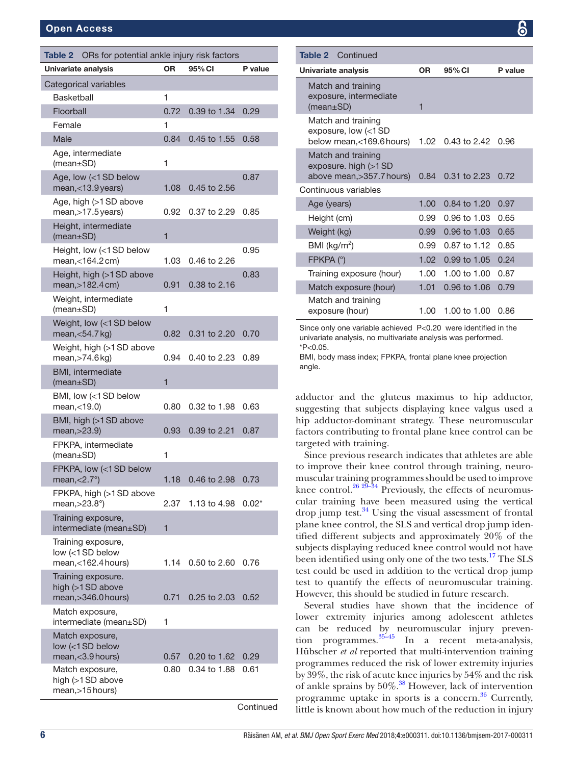#### Open Access

<span id="page-5-0"></span>

| ORs for potential ankle injury risk factors<br>Table 2         |           |              |           |
|----------------------------------------------------------------|-----------|--------------|-----------|
| Univariate analysis                                            | <b>OR</b> | 95% CI       | P value   |
| Categorical variables                                          |           |              |           |
| <b>Basketball</b>                                              | 1         |              |           |
| Floorball                                                      | 0.72      | 0.39 to 1.34 | 0.29      |
| Female                                                         | 1         |              |           |
| Male                                                           | 0.84      | 0.45 to 1.55 | 0.58      |
| Age, intermediate<br>$(mean \pm SD)$                           | 1         |              |           |
| Age, low (<1 SD below<br>mean, < 13.9 years)                   | 1.08      | 0.45 to 2.56 | 0.87      |
| Age, high (>1SD above<br>mean, > 17.5 years)                   | 0.92      | 0.37 to 2.29 | 0.85      |
| Height, intermediate<br>$(mean \pm SD)$                        | 1         |              |           |
| Height, low (<1 SD below<br>mean,<164.2 cm)                    | 1.03      | 0.46 to 2.26 | 0.95      |
| Height, high (>1SD above<br>mean, > 182.4 cm)                  | 0.91      | 0.38 to 2.16 | 0.83      |
| Weight, intermediate<br>$(mean \pm SD)$                        | 1         |              |           |
| Weight, low (<1 SD below<br>mean, $<$ 54.7 kg)                 | 0.82      | 0.31 to 2.20 | 0.70      |
| Weight, high (>1 SD above<br>mean, > 74.6 kg)                  | 0.94      | 0.40 to 2.23 | 0.89      |
| BMI, intermediate<br>$(mean \pm SD)$                           | 1         |              |           |
| BMI, low (<1 SD below<br>mean, <19.0                           | 0.80      | 0.32 to 1.98 | 0.63      |
| BMI, high (>1SD above<br>mean, > 23.9)                         | 0.93      | 0.39 to 2.21 | 0.87      |
| FPKPA, intermediate<br>$(mean \pm SD)$                         | 1         |              |           |
| FPKPA, low (<1 SD below<br>mean, $<$ $2.7^{\circ}$ )           | 1.18      | 0.46 to 2.98 | 0.73      |
| FPKPA, high (>1SD above<br>mean, $>23.8^\circ$ )               | 2.37      | 1.13 to 4.98 | $0.02^*$  |
| Training exposure,<br>intermediate (mean±SD)                   | 1         |              |           |
| Training exposure,<br>low (<1 SD below<br>mean,<162.4 hours)   | 1.14      | 0.50 to 2.60 | 0.76      |
| Training exposure.<br>high (>1SD above<br>mean, > 346.0 hours) | 0.71      | 0.25 to 2.03 | 0.52      |
| Match exposure,<br>intermediate (mean±SD)                      | 1         |              |           |
| Match exposure,<br>low (<1 SD below<br>mean,<3.9 hours)        | 0.57      | 0.20 to 1.62 | 0.29      |
| Match exposure,<br>high (>1SD above<br>mean, > 15 hours)       | 0.80      | 0.34 to 1.88 | 0.61      |
|                                                                |           |              | Continued |

| <b>Table 2</b> Continued                                                                                                                                                         |                   |                |         |
|----------------------------------------------------------------------------------------------------------------------------------------------------------------------------------|-------------------|----------------|---------|
| Univariate analysis                                                                                                                                                              | <b>OR</b>         | 95% CI         | P value |
| Match and training<br>exposure, intermediate<br>(mean ± SD)                                                                                                                      | 1                 |                |         |
| Match and training<br>exposure, low (<1 SD<br>below mean, < 169.6 hours)                                                                                                         | 1.02              | 0.43 to 2.42   | 0.96    |
| Match and training<br>exposure. high (>1SD<br>above mean, > 357.7 hours)                                                                                                         | 0.84              | $0.31$ to 2.23 | 0.72    |
| Continuous variables                                                                                                                                                             |                   |                |         |
| Age (years)                                                                                                                                                                      | 1.00              | 0.84 to 1.20   | 0.97    |
| Height (cm)                                                                                                                                                                      | 0.99              | 0.96 to 1.03   | 0.65    |
| Weight (kg)                                                                                                                                                                      | 0.99 <sub>1</sub> | 0.96 to 1.03   | 0.65    |
| BMI ( $\text{kg/m}^2$ )                                                                                                                                                          | 0.99              | 0.87 to 1.12   | 0.85    |
| FPKPA (°)                                                                                                                                                                        | 1.02              | 0.99 to 1.05   | 0.24    |
| Training exposure (hour)                                                                                                                                                         | 1.00              | 1.00 to 1.00   | 0.87    |
| Match exposure (hour)                                                                                                                                                            | 1.01              | 0.96 to 1.06   | 0.79    |
| Match and training<br>exposure (hour)                                                                                                                                            | 1.00              | 1.00 to 1.00   | 0.86    |
| Since only one variable achieved P<0.20 were identified in the<br>and the state of the state of the state of the state of the state of the state of the state of the state of th |                   |                |         |

univariate analysis, no multivariate analysis was performed.  $*P<0.05$ 

BMI, body mass index; FPKPA, frontal plane knee projection angle.

adductor and the gluteus maximus to hip adductor, suggesting that subjects displaying knee valgus used a hip adductor-dominant strategy. These neuromuscular factors contributing to frontal plane knee control can be targeted with training.

Since previous research indicates that athletes are able to improve their knee control through training, neuromuscular training programmes should be used to improve knee control.<sup>[26 29–34](#page-8-13)</sup> Previously, the effects of neuromuscular training have been measured using the vertical drop jump test. $34$  Using the visual assessment of frontal plane knee control, the SLS and vertical drop jump identified different subjects and approximately 20% of the subjects displaying reduced knee control would not have been identified using only one of the two tests.<sup>[17](#page-8-8)</sup> The SLS test could be used in addition to the vertical drop jump test to quantify the effects of neuromuscular training. However, this should be studied in future research.

Several studies have shown that the incidence of lower extremity injuries among adolescent athletes can be reduced by neuromuscular injury prevention programmes.[35–45](#page-9-0) In a recent meta-analysis, Hübscher *et al* reported that multi-intervention training programmes reduced the risk of lower extremity injuries by 39%, the risk of acute knee injuries by 54% and the risk of ankle sprains by  $50\%$ .<sup>38</sup> However, lack of intervention programme uptake in sports is a concern.<sup>36</sup> Currently, little is known about how much of the reduction in injury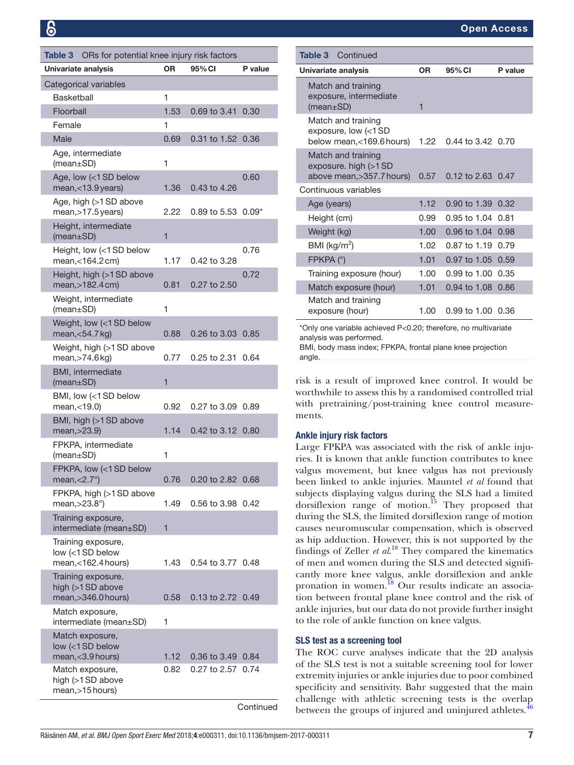<span id="page-6-0"></span>

| ORs for potential knee injury risk factors<br>Table 3            |                |                   |           |  |
|------------------------------------------------------------------|----------------|-------------------|-----------|--|
| Univariate analysis                                              | <b>OR</b>      | 95% CI            | P value   |  |
| Categorical variables                                            |                |                   |           |  |
| <b>Basketball</b>                                                | 1              |                   |           |  |
| Floorball                                                        | 1.53           | 0.69 to 3.41      | 0.30      |  |
| Female                                                           | 1              |                   |           |  |
| Male                                                             | 0.69           | 0.31 to 1.52      | 0.36      |  |
| Age, intermediate<br>(mean±SD)                                   | 1              |                   |           |  |
| Age, low (<1 SD below<br>mean, < 13.9 years)                     | 1.36           | 0.43 to 4.26      | 0.60      |  |
| Age, high (>1SD above<br>mean, > 17.5 years)                     | 2.22           | 0.89 to 5.53      | $0.09*$   |  |
| Height, intermediate<br>(mean±SD)                                | 1              |                   |           |  |
| Height, low (<1 SD below<br>mean, < 164.2 cm)                    | 1.17           | 0.42 to 3.28      | 0.76      |  |
| Height, high (>1 SD above<br>mean, > 182.4 cm)                   | 0.81           | 0.27 to 2.50      | 0.72      |  |
| Weight, intermediate<br>(mean±SD)                                | 1              |                   |           |  |
| Weight, low (<1 SD below<br>mean, < 54.7 kg)                     | 0.88           | 0.26 to 3.03      | 0.85      |  |
| Weight, high (>1 SD above<br>mean, > 74.6 kg)                    | 0.77           | 0.25 to 2.31      | 0.64      |  |
| BMI, intermediate<br>(mean ± SD)                                 | $\overline{1}$ |                   |           |  |
| BMI, low (<1 SD below<br>mean, < 19.0)                           | 0.92           | 0.27 to 3.09      | 0.89      |  |
| BMI, high (>1SD above<br>mean, > 23.9)                           | 1.14           | 0.42 to 3.12      | 0.80      |  |
| FPKPA, intermediate<br>(mean±SD)                                 | 1              |                   |           |  |
| FPKPA, low (<1 SD below<br>$mean, < 2.7^{\circ}$ )               | 0.76           | 0.20 to 2.82 0.68 |           |  |
| FPKPA, high (>1SD above<br>mean, $>23.8^\circ$ )                 | 1.49           | 0.56 to 3.98      | 0.42      |  |
| Training exposure,<br>intermediate (mean±SD)                     | 1              |                   |           |  |
| Training exposure,<br>low (<1 SD below<br>$mean, < 162.4$ hours) | 1.43           | 0.54 to 3.77 0.48 |           |  |
| Training exposure.<br>high (>1SD above<br>mean, > 346.0 hours)   | 0.58           | 0.13 to 2.72 0.49 |           |  |
| Match exposure,<br>intermediate (mean±SD)                        | 1              |                   |           |  |
| Match exposure,<br>low (<1SD below                               |                |                   |           |  |
| mean, < 3.9 hours)                                               | 1.12           | 0.36 to 3.49      | 0.84      |  |
| Match exposure,<br>high (>1 SD above<br>mean, > 15 hours)        | 0.82           | 0.27 to 2.57      | 0.74      |  |
|                                                                  |                |                   | Continued |  |

| <b>Table 3</b> Continued                                                                              |                   |                       |         |
|-------------------------------------------------------------------------------------------------------|-------------------|-----------------------|---------|
| Univariate analysis                                                                                   | ΟR                | 95% CI                | P value |
| Match and training<br>exposure, intermediate<br>$(mean \pm SD)$                                       | 1                 |                       |         |
| Match and training<br>exposure, low $\left\langle \langle 1 \rangle$ SD<br>below mean, < 169.6 hours) | 1.22              | 0.44 to 3.42 0.70     |         |
| Match and training<br>exposure. high $(>1$ SD<br>above mean, > 357.7 hours)                           | 0.57              | $0.12$ to 2.63 $0.47$ |         |
| Continuous variables                                                                                  |                   |                       |         |
| Age (years)                                                                                           | 1.12 <sub>2</sub> | 0.90 to 1.39          | 0.32    |
| Height (cm)                                                                                           | 0.99              | 0.95 to 1.04          | 0.81    |
| Weight (kg)                                                                                           | 1.00 <sub>1</sub> | 0.96 to 1.04          | 0.98    |
| BMI ( $kg/m2$ )                                                                                       | 1.02 <sub>1</sub> | $0.87$ to 1.19        | 0.79    |
| FPKPA (°)                                                                                             | 1.01              | 0.97 to 1.05          | 0.59    |
| Training exposure (hour)                                                                              | 1.00              | 0.99 to 1.00          | 0.35    |
| Match exposure (hour)                                                                                 | 1.01              | $0.94$ to 1.08        | 0.86    |
| Match and training<br>exposure (hour)                                                                 | 1.00              | $0.99$ to 1.00 $0.36$ |         |

\*Only one variable achieved P<0.20; therefore, no multivariate analysis was performed.

BMI, body mass index; FPKPA, frontal plane knee projection angle.

risk is a result of improved knee control. It would be worthwhile to assess this by a randomised controlled trial with pretraining/post-training knee control measurements.

### Ankle injury risk factors

Large FPKPA was associated with the risk of ankle injuries. It is known that ankle function contributes to knee valgus movement, but knee valgus has not previously been linked to ankle injuries. Mauntel *et al* found that subjects displaying valgus during the SLS had a limited dorsiflexion range of motion.<sup>15</sup> They proposed that during the SLS, the limited dorsiflexion range of motion causes neuromuscular compensation, which is observed as hip adduction. However, this is not supported by the findings of Zeller *et al*. [18](#page-8-17) They compared the kinematics of men and women during the SLS and detected significantly more knee valgus, ankle dorsiflexion and ankle pronation in women.<sup>18</sup> Our results indicate an association between frontal plane knee control and the risk of ankle injuries, but our data do not provide further insight to the role of ankle function on knee valgus.

#### SLS test as a screening tool

The ROC curve analyses indicate that the 2D analysis of the SLS test is not a suitable screening tool for lower extremity injuries or ankle injuries due to poor combined specificity and sensitivity. Bahr suggested that the main challenge with athletic screening tests is the overlap between the groups of injured and uninjured athletes. $46$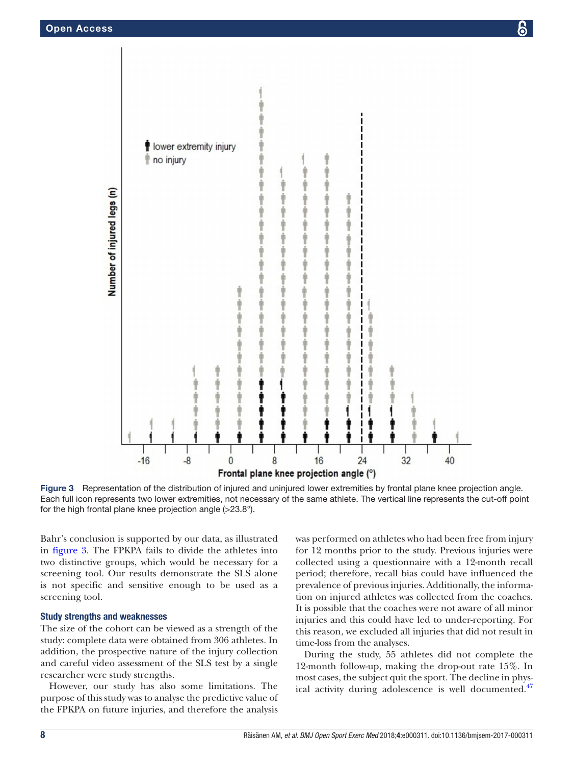

<span id="page-7-0"></span>Figure 3 Representation of the distribution of injured and uninjured lower extremities by frontal plane knee projection angle. Each full icon represents two lower extremities, not necessary of the same athlete. The vertical line represents the cut-off point for the high frontal plane knee projection angle (>23.8°).

Bahr's conclusion is supported by our data, as illustrated in [figure](#page-7-0) 3. The FPKPA fails to divide the athletes into two distinctive groups, which would be necessary for a screening tool. Our results demonstrate the SLS alone is not specific and sensitive enough to be used as a screening tool.

#### Study strengths and weaknesses

The size of the cohort can be viewed as a strength of the study: complete data were obtained from 306 athletes. In addition, the prospective nature of the injury collection and careful video assessment of the SLS test by a single researcher were study strengths.

However, our study has also some limitations. The purpose of this study was to analyse the predictive value of the FPKPA on future injuries, and therefore the analysis

was performed on athletes who had been free from injury for 12 months prior to the study. Previous injuries were collected using a questionnaire with a 12-month recall period; therefore, recall bias could have influenced the prevalence of previous injuries. Additionally, the information on injured athletes was collected from the coaches. It is possible that the coaches were not aware of all minor injuries and this could have led to under-reporting. For this reason, we excluded all injuries that did not result in time-loss from the analyses.

During the study, 55 athletes did not complete the 12-month follow-up, making the drop-out rate 15%. In most cases, the subject quit the sport. The decline in physical activity during adolescence is well documented.<sup>47</sup>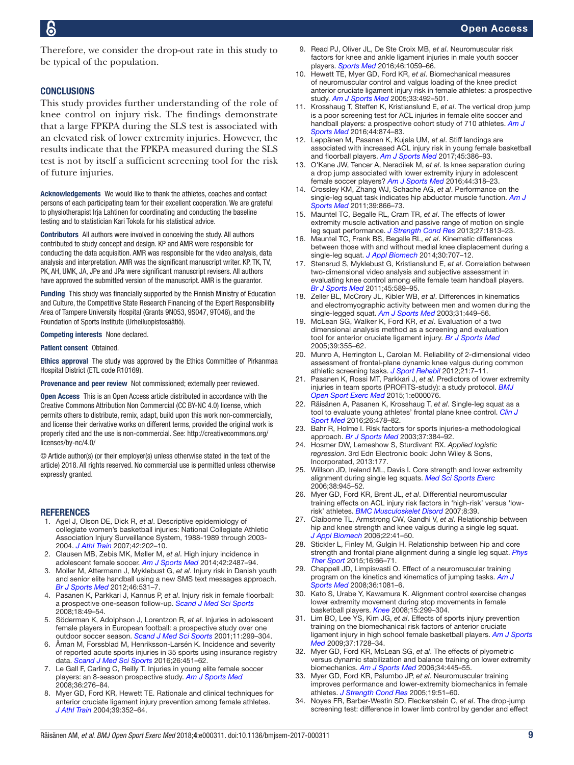Therefore, we consider the drop-out rate in this study to be typical of the population.

#### **CONCLUSIONS**

This study provides further understanding of the role of knee control on injury risk. The findings demonstrate that a large FPKPA during the SLS test is associated with an elevated risk of lower extremity injuries. However, the results indicate that the FPKPA measured during the SLS test is not by itself a sufficient screening tool for the risk of future injuries.

Acknowledgements We would like to thank the athletes, coaches and contact persons of each participating team for their excellent cooperation. We are grateful to physiotherapist Irja Lahtinen for coordinating and conducting the baseline testing and to statistician Kari Tokola for his statistical advice.

Contributors All authors were involved in conceiving the study. All authors contributed to study concept and design. KP and AMR were responsible for conducting the data acquisition. AMR was responsible for the video analysis, data analysis and interpretation. AMR was the significant manuscript writer. KP, TK, TV, PK, AH, UMK, JA, JPe and JPa were significant manuscript revisers. All authors have approved the submitted version of the manuscript. AMR is the guarantor.

Funding This study was financially supported by the Finnish Ministry of Education and Culture, the Competitive State Research Financing of the Expert Responsibility Area of Tampere University Hospital (Grants 9N053, 9S047, 9T046), and the Foundation of Sports Institute (Urheiluopistosäätiö).

Competing interests None declared.

Patient consent Obtained.

Ethics approval The study was approved by the Ethics Committee of Pirkanmaa Hospital District (ETL code R10169).

Provenance and peer review Not commissioned; externally peer reviewed.

Open Access This is an Open Access article distributed in accordance with the Creative Commons Attribution Non Commercial (CC BY-NC 4.0) license, which permits others to distribute, remix, adapt, build upon this work non-commercially, and license their derivative works on different terms, provided the original work is properly cited and the use is non-commercial. See: [http://creativecommons.org/](http://creativecommons.org/licenses/by-nc/4.0/) [licenses/by-nc/4.0/](http://creativecommons.org/licenses/by-nc/4.0/)

© Article author(s) (or their employer(s) unless otherwise stated in the text of the article) 2018. All rights reserved. No commercial use is permitted unless otherwise expressly granted.

#### **REFERENCES**

- <span id="page-8-0"></span>1. Agel J, Olson DE, Dick R, *et al*. Descriptive epidemiology of collegiate women's basketball injuries: National Collegiate Athletic Association Injury Surveillance System, 1988-1989 through 2003- 2004. *J Athl Train* 2007;42:202–10.
- 2. Clausen MB, Zebis MK, Møller M, *et al*. High injury incidence in adolescent female soccer. *[Am J Sports Med](http://dx.doi.org/10.1177/0363546514541224)* 2014;42:2487–94.
- 3. Moller M, Attermann J, Myklebust G, *et al*. Injury risk in Danish youth and senior elite handball using a new SMS text messages approach. *[Br J Sports Med](http://dx.doi.org/10.1136/bjsports-2012-091022)* 2012;46:531–7.
- 4. Pasanen K, Parkkari J, Kannus P, *et al*. Injury risk in female floorball: a prospective one-season follow-up. *[Scand J Med Sci Sports](http://dx.doi.org/10.1111/j.1600-0838.2007.00640.x)* 2008;18:49–54.
- 5. Söderman K, Adolphson J, Lorentzon R, *et al*. Injuries in adolescent female players in European football: a prospective study over one outdoor soccer season. *[Scand J Med Sci Sports](http://dx.doi.org/10.1034/j.1600-0838.2001.110508.x)* 2001;11:299–304.
- 6. Åman M, Forssblad M, Henriksson-Larsén K. Incidence and severity of reported acute sports injuries in 35 sports using insurance registry data. *[Scand J Med Sci Sports](http://dx.doi.org/10.1111/sms.12462)* 2016;26:451–62.
- 7. Le Gall F, Carling C, Reilly T. Injuries in young elite female soccer players: an 8-season prospective study. *[Am J Sports Med](http://dx.doi.org/10.1177/0363546507307866)* 2008;36:276–84.
- <span id="page-8-1"></span>8. Myer GD, Ford KR, Hewett TE. Rationale and clinical techniques for anterior cruciate ligament injury prevention among female athletes. *J Athl Train* 2004;39:352–64.
- 9. Read PJ, Oliver JL, De Ste Croix MB, *et al*. Neuromuscular risk factors for knee and ankle ligament injuries in male youth soccer players. *[Sports Med](http://dx.doi.org/10.1007/s40279-016-0479-z)* 2016;46:1059–66.
- <span id="page-8-2"></span>10. Hewett TE, Myer GD, Ford KR, *et al*. Biomechanical measures of neuromuscular control and valgus loading of the knee predict anterior cruciate ligament injury risk in female athletes: a prospective study. *[Am J Sports Med](http://dx.doi.org/10.1177/0363546504269591)* 2005;33:492–501.
- <span id="page-8-3"></span>11. Krosshaug T, Steffen K, Kristianslund E, *et al*. The vertical drop jump is a poor screening test for ACL injuries in female elite soccer and handball players: a prospective cohort study of 710 athletes. *[Am J](http://dx.doi.org/10.1177/0363546515625048)  [Sports Med](http://dx.doi.org/10.1177/0363546515625048)* 2016;44:874–83.
- 12. Leppänen M, Pasanen K, Kujala UM, *et al*. Stiff landings are associated with increased ACL injury risk in young female basketball and floorball players. *[Am J Sports Med](http://dx.doi.org/10.1177/0363546516665810)* 2017;45:386–93.
- <span id="page-8-4"></span>13. O'Kane JW, Tencer A, Neradilek M, *et al*. Is knee separation during a drop jump associated with lower extremity injury in adolescent female soccer players? *[Am J Sports Med](http://dx.doi.org/10.1177/0363546515613076)* 2016;44:318–23.
- <span id="page-8-5"></span>14. Crossley KM, Zhang WJ, Schache AG, *et al*. Performance on the single-leg squat task indicates hip abductor muscle function. *[Am J](http://dx.doi.org/10.1177/0363546510395456)  [Sports Med](http://dx.doi.org/10.1177/0363546510395456)* 2011;39:866–73.
- <span id="page-8-15"></span>15. Mauntel TC, Begalle RL, Cram TR, *et al*. The effects of lower extremity muscle activation and passive range of motion on single leg squat performance. *[J Strength Cond Res](http://dx.doi.org/10.1519/JSC.0b013e318276b886)* 2013;27:1813–23.
- <span id="page-8-12"></span>16. Mauntel TC, Frank BS, Begalle RL, *et al*. Kinematic differences between those with and without medial knee displacement during a single-leg squat. *[J Appl Biomech](http://dx.doi.org/10.1123/jab.2014-0003)* 2014;30:707–12.
- <span id="page-8-8"></span>17. Stensrud S, Myklebust G, Kristianslund E, *et al*. Correlation between two-dimensional video analysis and subjective assessment in evaluating knee control among elite female team handball players. *[Br J Sports Med](http://dx.doi.org/10.1136/bjsm.2010.078287)* 2011;45:589–95.
- <span id="page-8-17"></span>18. Zeller BL, McCrory JL, Kibler WB, *et al*. Differences in kinematics and electromyographic activity between men and women during the single-legged squat. *[Am J Sports Med](http://dx.doi.org/10.1177/03635465030310032101)* 2003;31:449–56.
- <span id="page-8-6"></span>19. McLean SG, Walker K, Ford KR, *et al*. Evaluation of a two dimensional analysis method as a screening and evaluation tool for anterior cruciate ligament injury. *[Br J Sports Med](http://dx.doi.org/10.1136/bjsm.2005.018598)* 2005;39:355–62.
- 20. Munro A, Herrington L, Carolan M. Reliability of 2-dimensional video assessment of frontal-plane dynamic knee valgus during common athletic screening tasks. *[J Sport Rehabil](http://dx.doi.org/10.1123/jsr.21.1.7)* 2012;21:7–11.
- <span id="page-8-7"></span>21. Pasanen K, Rossi MT, Parkkari J, *et al*. Predictors of lower extremity injuries in team sports (PROFITS-study): a study protocol. *[BMJ](http://dx.doi.org/10.1136/bmjsem-2015-000076)  [Open Sport Exerc Med](http://dx.doi.org/10.1136/bmjsem-2015-000076)* 2015;1:e000076.
- <span id="page-8-9"></span>22. Räisänen A, Pasanen K, Krosshaug T, *et al*. Single-leg squat as a tool to evaluate young athletes' frontal plane knee control. *[Clin J](http://dx.doi.org/10.1097/JSM.0000000000000288)  [Sport Med](http://dx.doi.org/10.1097/JSM.0000000000000288)* 2016;26:478–82.
- <span id="page-8-10"></span>23. Bahr R, Holme I. Risk factors for sports injuries-a methodological approach. *[Br J Sports Med](http://dx.doi.org/10.1136/bjsm.37.5.384)* 2003;37:384–92.
- <span id="page-8-11"></span>24. Hosmer DW, Lemeshow S, Sturdivant RX. *Applied logistic regression*. 3rd Edn Electronic book: John Wiley & Sons, Incorporated, 2013:177.
- <span id="page-8-14"></span>25. Willson JD, Ireland ML, Davis I. Core strength and lower extremity alignment during single leg squats. *[Med Sci Sports Exerc](http://dx.doi.org/10.1249/01.mss.0000218140.05074.fa)* 2006;38:945–52.
- <span id="page-8-13"></span>26. Myer GD, Ford KR, Brent JL, *et al*. Differential neuromuscular training effects on ACL injury risk factors in 'high-risk' versus 'lowrisk' athletes. *[BMC Musculoskelet Disord](http://dx.doi.org/10.1186/1471-2474-8-39)* 2007;8:39.
- 27. Claiborne TL, Armstrong CW, Gandhi V, *et al*. Relationship between hip and knee strength and knee valgus during a single leg squat. *[J Appl Biomech](http://dx.doi.org/10.1123/jab.22.1.41)* 2006;22:41–50.
- 28. Stickler L, Finley M, Gulgin H. Relationship between hip and core strength and frontal plane alignment during a single leg squat. *[Phys](http://dx.doi.org/10.1016/j.ptsp.2014.05.002)  [Ther Sport](http://dx.doi.org/10.1016/j.ptsp.2014.05.002)* 2015;16:66–71.
- 29. Chappell JD, Limpisvasti O. Effect of a neuromuscular training program on the kinetics and kinematics of jumping tasks. *[Am J](http://dx.doi.org/10.1177/0363546508314425)  [Sports Med](http://dx.doi.org/10.1177/0363546508314425)* 2008;36:1081–6.
- 30. Kato S, Urabe Y, Kawamura K. Alignment control exercise changes lower extremity movement during stop movements in female basketball players. *[Knee](http://dx.doi.org/10.1016/j.knee.2008.04.003)* 2008;15:299–304.
- 31. Lim BO, Lee YS, Kim JG, *et al*. Effects of sports injury prevention training on the biomechanical risk factors of anterior cruciate ligament injury in high school female basketball players. *[Am J Sports](http://dx.doi.org/10.1177/0363546509334220)  [Med](http://dx.doi.org/10.1177/0363546509334220)* 2009;37:1728–34.
- 32. Myer GD, Ford KR, McLean SG, *et al*. The effects of plyometric versus dynamic stabilization and balance training on lower extremity biomechanics. *[Am J Sports Med](http://dx.doi.org/10.1177/0363546505281241)* 2006;34:445–55.
- 33. Myer GD, Ford KR, Palumbo JP, *et al*. Neuromuscular training improves performance and lower-extremity biomechanics in female athletes. *[J Strength Cond Res](http://dx.doi.org/10.1519/13643.1)* 2005;19:51–60.
- <span id="page-8-16"></span>34. Noyes FR, Barber-Westin SD, Fleckenstein C, *et al*. The drop-jump screening test: difference in lower limb control by gender and effect